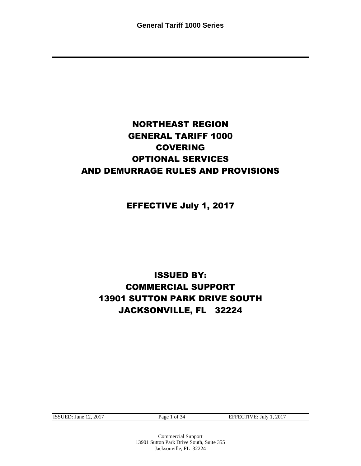### NORTHEAST REGION GENERAL TARIFF 1000 COVERING OPTIONAL SERVICES AND DEMURRAGE RULES AND PROVISIONS

EFFECTIVE July 1, 2017

### ISSUED BY: COMMERCIAL SUPPORT 13901 SUTTON PARK DRIVE SOUTH JACKSONVILLE, FL 32224

ISSUED: June 12, 2017 Page 1 of 34 EFFECTIVE: July 1, 2017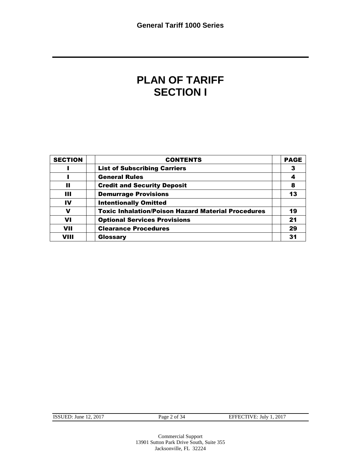### **PLAN OF TARIFF SECTION I**

| <b>SECTION</b> | <b>CONTENTS</b>                                           | <b>PAGE</b>    |
|----------------|-----------------------------------------------------------|----------------|
|                | <b>List of Subscribing Carriers</b>                       |                |
|                | <b>General Rules</b>                                      |                |
| Ш              | <b>Credit and Security Deposit</b>                        | 8              |
| Ш              | <b>Demurrage Provisions</b>                               | 13             |
| IV             | <b>Intentionally Omitted</b>                              |                |
| v              | <b>Toxic Inhalation/Poison Hazard Material Procedures</b> | 19             |
| VI             | <b>Optional Services Provisions</b>                       | 2 <sub>1</sub> |
| <b>VII</b>     | <b>Clearance Procedures</b>                               | 29             |
| VIII           | Glossary                                                  |                |

| <b>ISSUED:</b> June 12, 2017 |  |  |
|------------------------------|--|--|
|------------------------------|--|--|

Page 2 of 34 EFFECTIVE: July 1, 2017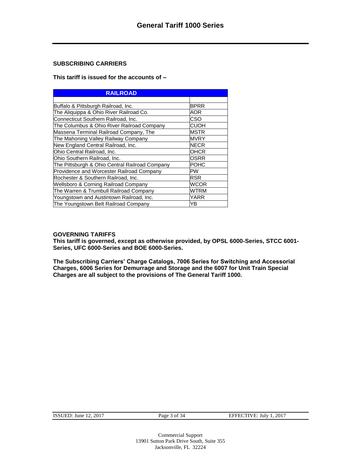#### **SUBSCRIBING CARRIERS**

#### **This tariff is issued for the accounts of –**

| <b>RAILROAD</b>                                 |             |
|-------------------------------------------------|-------------|
|                                                 |             |
| Buffalo & Pittsburgh Railroad, Inc.             | <b>BPRR</b> |
| The Aliquippa & Ohio River Railroad Co.         | <b>AOR</b>  |
| Connecticut Southern Railroad, Inc.             | CSO         |
| The Columbus & Ohio River Railroad Company      | <b>CUOH</b> |
| Massena Terminal Railroad Company, The          | <b>MSTR</b> |
| The Mahoning Valley Railway Company             | MVRY        |
| New England Central Railroad, Inc.              | <b>NECR</b> |
| Ohio Central Railroad, Inc.                     | <b>OHCR</b> |
| Ohio Southern Railroad, Inc.                    | <b>OSRR</b> |
| The Pittsburgh & Ohio Central Railroad Company  | <b>POHC</b> |
| Providence and Worcester Railroad Company       | <b>PW</b>   |
| Rochester & Southern Railroad, Inc.             | <b>RSR</b>  |
| <b>Wellsboro &amp; Corning Railroad Company</b> | <b>WCOR</b> |
| The Warren & Trumbull Railroad Company          | <b>WTRM</b> |
| Youngstown and Austintown Railroad, Inc.        | YARR        |
| The Youngstown Belt Railroad Company            | YΒ          |

#### **GOVERNING TARIFFS**

**This tariff is governed, except as otherwise provided, by OPSL 6000-Series, STCC 6001- Series, UFC 6000-Series and BOE 6000-Series.**

**The Subscribing Carriers' Charge Catalogs, 7006 Series for Switching and Accessorial Charges, 6006 Series for Demurrage and Storage and the 6007 for Unit Train Special Charges are all subject to the provisions of The General Tariff 1000.**

| ISSUED: June $12$ , $2017$ |  |  |
|----------------------------|--|--|
|                            |  |  |

Page 3 of 34 EFFECTIVE: July 1, 2017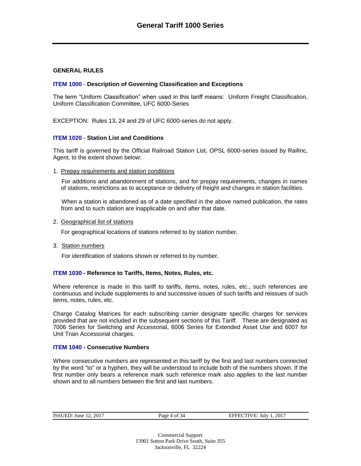#### **GENERAL RULES**

#### **ITEM 1000 - Description of Governing Classification and Exceptions**

The term "Uniform Classification" when used in this tariff means: Uniform Freight Classification, Uniform Classification Committee, UFC 6000-Series

EXCEPTION: Rules 13, 24 and 29 of UFC 6000-series do not apply.

#### **ITEM 1020 - Station List and Conditions**

This tariff is governed by the Official Railroad Station List, OPSL 6000-series issued by RailInc, Agent, to the extent shown below:

1. Prepay requirements and station conditions

For additions and abandonment of stations, and for prepay requirements, changes in names of stations, restrictions as to acceptance or delivery of freight and changes in station facilities.

When a station is abandoned as of a date specified in the above named publication, the rates from and to such station are inapplicable on and after that date.

2. Geographical list of stations

For geographical locations of stations referred to by station number.

3. Station numbers

For identification of stations shown or referred to by number.

#### **ITEM 1030 - Reference to Tariffs, Items, Notes, Rules, etc.**

Where reference is made in this tariff to tariffs, items, notes, rules, etc., such references are continuous and include supplements to and successive issues of such tariffs and reissues of such items, notes, rules, etc.

Charge Catalog Matrices for each subscribing carrier designate specific charges for services provided that are not included in the subsequent sections of this Tariff. These are designated as 7006 Series for Switching and Accessorial, 6006 Series for Extended Asset Use and 6007 for Unit Train Accessorial charges.

#### **ITEM 1040 - Consecutive Numbers**

Where consecutive numbers are represented in this tariff by the first and last numbers connected by the word "to" or a hyphen, they will be understood to include both of the numbers shown. If the first number only bears a reference mark such reference mark also applies to the last number shown and to all numbers between the first and last numbers.

| ISSUED: June $12, 2017$ |  |
|-------------------------|--|
|-------------------------|--|

Page 4 of 34 EFFECTIVE: July 1, 2017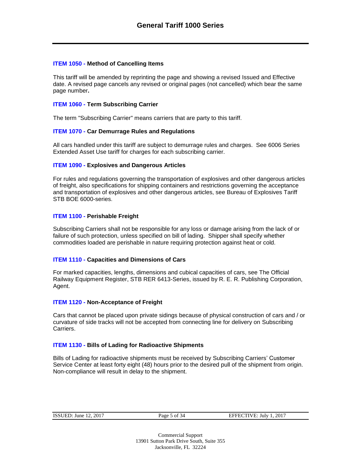#### **ITEM 1050 - Method of Cancelling Items**

This tariff will be amended by reprinting the page and showing a revised Issued and Effective date. A revised page cancels any revised or original pages (not cancelled) which bear the same page number**.**

#### **ITEM 1060 - Term Subscribing Carrier**

The term "Subscribing Carrier" means carriers that are party to this tariff.

#### **ITEM 1070 - Car Demurrage Rules and Regulations**

All cars handled under this tariff are subject to demurrage rules and charges. See 6006 Series Extended Asset Use tariff for charges for each subscribing carrier.

#### **ITEM 1090 - Explosives and Dangerous Articles**

For rules and regulations governing the transportation of explosives and other dangerous articles of freight, also specifications for shipping containers and restrictions governing the acceptance and transportation of explosives and other dangerous articles, see Bureau of Explosives Tariff STB BOE 6000-series.

#### **ITEM 1100 - Perishable Freight**

Subscribing Carriers shall not be responsible for any loss or damage arising from the lack of or failure of such protection, unless specified on bill of lading. Shipper shall specify whether commodities loaded are perishable in nature requiring protection against heat or cold.

#### **ITEM 1110 - Capacities and Dimensions of Cars**

For marked capacities, lengths, dimensions and cubical capacities of cars, see The Official Railway Equipment Register, STB RER 6413-Series, issued by R. E. R. Publishing Corporation, Agent.

#### **ITEM 1120 - Non-Acceptance of Freight**

Cars that cannot be placed upon private sidings because of physical construction of cars and / or curvature of side tracks will not be accepted from connecting line for delivery on Subscribing Carriers.

#### **ITEM 1130 - Bills of Lading for Radioactive Shipments**

Bills of Lading for radioactive shipments must be received by Subscribing Carriers' Customer Service Center at least forty eight (48) hours prior to the desired pull of the shipment from origin. Non-compliance will result in delay to the shipment.

Page 5 of 34 EFFECTIVE: July 1, 2017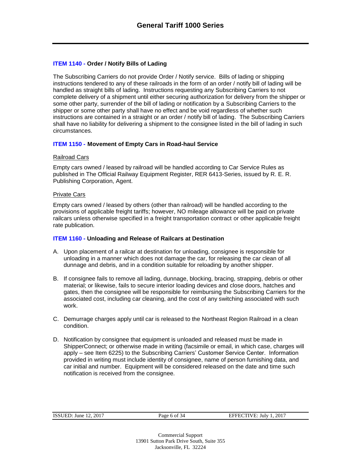#### **ITEM 1140 - Order / Notify Bills of Lading**

The Subscribing Carriers do not provide Order / Notify service. Bills of lading or shipping instructions tendered to any of these railroads in the form of an order / notify bill of lading will be handled as straight bills of lading. Instructions requesting any Subscribing Carriers to not complete delivery of a shipment until either securing authorization for delivery from the shipper or some other party, surrender of the bill of lading or notification by a Subscribing Carriers to the shipper or some other party shall have no effect and be void regardless of whether such instructions are contained in a straight or an order / notify bill of lading. The Subscribing Carriers shall have no liability for delivering a shipment to the consignee listed in the bill of lading in such circumstances.

#### **ITEM 1150 - Movement of Empty Cars in Road-haul Service**

#### Railroad Cars

Empty cars owned / leased by railroad will be handled according to Car Service Rules as published in The Official Railway Equipment Register, RER 6413-Series, issued by R. E. R. Publishing Corporation, Agent.

#### Private Cars

Empty cars owned / leased by others (other than railroad) will be handled according to the provisions of applicable freight tariffs; however, NO mileage allowance will be paid on private railcars unless otherwise specified in a freight transportation contract or other applicable freight rate publication.

#### **ITEM 1160 - Unloading and Release of Railcars at Destination**

- A. Upon placement of a railcar at destination for unloading, consignee is responsible for unloading in a manner which does not damage the car, for releasing the car clean of all dunnage and debris, and in a condition suitable for reloading by another shipper.
- B. If consignee fails to remove all lading, dunnage, blocking, bracing, strapping, debris or other material; or likewise, fails to secure interior loading devices and close doors, hatches and gates, then the consignee will be responsible for reimbursing the Subscribing Carriers for the associated cost, including car cleaning, and the cost of any switching associated with such work.
- C. Demurrage charges apply until car is released to the Northeast Region Railroad in a clean condition.
- D. Notification by consignee that equipment is unloaded and released must be made in ShipperConnect; or otherwise made in writing (facsimile or email, in which case, charges will apply – see Item 6225) to the Subscribing Carriers' Customer Service Center. Information provided in writing must include identity of consignee, name of person furnishing data, and car initial and number. Equipment will be considered released on the date and time such notification is received from the consignee.

| <b>ISSUED:</b> June 12, 2017 |  |
|------------------------------|--|
|                              |  |

Page 6 of 34 EFFECTIVE: July 1, 2017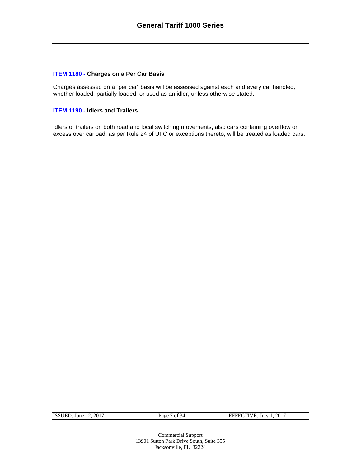#### **ITEM 1180 - Charges on a Per Car Basis**

Charges assessed on a "per car" basis will be assessed against each and every car handled, whether loaded, partially loaded, or used as an idler, unless otherwise stated.

#### **ITEM 1190 - Idlers and Trailers**

Idlers or trailers on both road and local switching movements, also cars containing overflow or excess over carload, as per Rule 24 of UFC or exceptions thereto, will be treated as loaded cars.

ISSUED: June 12, 2017 Page 7 of 34 EFFECTIVE: July 1, 2017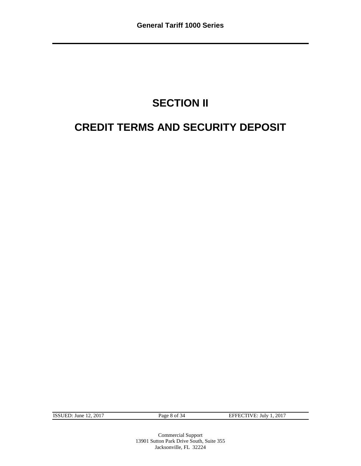## **SECTION II**

### **CREDIT TERMS AND SECURITY DEPOSIT**

ISSUED: June 12, 2017 Page 8 of 34 EFFECTIVE: July 1, 2017

Commercial Support 13901 Sutton Park Drive South, Suite 355 Jacksonville, FL 32224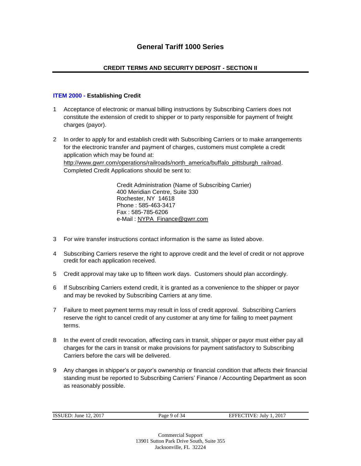#### **CREDIT TERMS AND SECURITY DEPOSIT - SECTION II**

#### **ITEM 2000 - Establishing Credit**

- 1 Acceptance of electronic or manual billing instructions by Subscribing Carriers does not constitute the extension of credit to shipper or to party responsible for payment of freight charges (payor).
- 2 In order to apply for and establish credit with Subscribing Carriers or to make arrangements for the electronic transfer and payment of charges, customers must complete a credit application which may be found at: [http://www.gwrr.com/operations/railroads/north\\_america/buffalo\\_pittsburgh\\_railroad.](http://www.gwrr.com/operations/railroads/north_america/buffalo_pittsburgh_railroad) Completed Credit Applications should be sent to:

Credit Administration (Name of Subscribing Carrier) 400 Meridian Centre, Suite 330 Rochester, NY 14618 Phone : 585-463-3417 Fax : 585-785-6206 e-Mail : [NYPA\\_Finance@gwrr.com](mailto:NYPA_Finance@gwrr.com)

- 3 For wire transfer instructions contact information is the same as listed above.
- 4 Subscribing Carriers reserve the right to approve credit and the level of credit or not approve credit for each application received.
- 5 Credit approval may take up to fifteen work days. Customers should plan accordingly.
- 6 If Subscribing Carriers extend credit, it is granted as a convenience to the shipper or payor and may be revoked by Subscribing Carriers at any time.
- 7 Failure to meet payment terms may result in loss of credit approval. Subscribing Carriers reserve the right to cancel credit of any customer at any time for failing to meet payment terms.
- 8 In the event of credit revocation, affecting cars in transit, shipper or payor must either pay all charges for the cars in transit or make provisions for payment satisfactory to Subscribing Carriers before the cars will be delivered.
- 9 Any changes in shipper's or payor's ownership or financial condition that affects their financial standing must be reported to Subscribing Carriers' Finance / Accounting Department as soon as reasonably possible.

| <b>ISSUED: June 12, 2017</b> |  |
|------------------------------|--|

Page 9 of 34 EFFECTIVE: July 1, 2017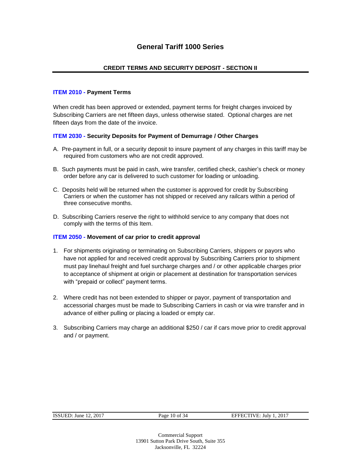#### **CREDIT TERMS AND SECURITY DEPOSIT - SECTION II**

#### **ITEM 2010 - Payment Terms**

When credit has been approved or extended, payment terms for freight charges invoiced by Subscribing Carriers are net fifteen days, unless otherwise stated. Optional charges are net fifteen days from the date of the invoice.

#### **ITEM 2030 - Security Deposits for Payment of Demurrage / Other Charges**

- A. Pre-payment in full, or a security deposit to insure payment of any charges in this tariff may be required from customers who are not credit approved.
- B. Such payments must be paid in cash, wire transfer, certified check, cashier's check or money order before any car is delivered to such customer for loading or unloading.
- C. Deposits held will be returned when the customer is approved for credit by Subscribing Carriers or when the customer has not shipped or received any railcars within a period of three consecutive months.
- D. Subscribing Carriers reserve the right to withhold service to any company that does not comply with the terms of this Item.

#### **ITEM 2050 - Movement of car prior to credit approval**

- 1. For shipments originating or terminating on Subscribing Carriers, shippers or payors who have not applied for and received credit approval by Subscribing Carriers prior to shipment must pay linehaul freight and fuel surcharge charges and / or other applicable charges prior to acceptance of shipment at origin or placement at destination for transportation services with "prepaid or collect" payment terms.
- 2. Where credit has not been extended to shipper or payor, payment of transportation and accessorial charges must be made to Subscribing Carriers in cash or via wire transfer and in advance of either pulling or placing a loaded or empty car.
- 3. Subscribing Carriers may charge an additional \$250 / car if cars move prior to credit approval and / or payment.

| <b>ISSUED:</b> June 12, 2017 |  |  |
|------------------------------|--|--|
|                              |  |  |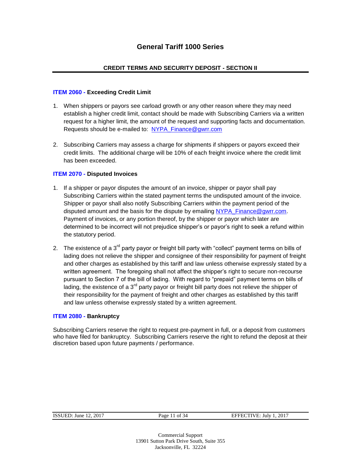#### **CREDIT TERMS AND SECURITY DEPOSIT - SECTION II**

#### **ITEM 2060 - Exceeding Credit Limit**

- 1. When shippers or payors see carload growth or any other reason where they may need establish a higher credit limit, contact should be made with Subscribing Carriers via a written request for a higher limit, the amount of the request and supporting facts and documentation. Requests should be e-mailed to: [NYPA\\_Finance@gwrr.com](mailto:NYPA_Finance@gwrr.com)
- 2. Subscribing Carriers may assess a charge for shipments if shippers or payors exceed their credit limits. The additional charge will be 10% of each freight invoice where the credit limit has been exceeded.

#### **ITEM 2070 - Disputed Invoices**

- 1. If a shipper or payor disputes the amount of an invoice, shipper or payor shall pay Subscribing Carriers within the stated payment terms the undisputed amount of the invoice. Shipper or payor shall also notify Subscribing Carriers within the payment period of the disputed amount and the basis for the dispute by emailing [NYPA\\_Finance@gwrr.com.](mailto:NYPA_Finance@gwrr.com) Payment of invoices, or any portion thereof, by the shipper or payor which later are determined to be incorrect will not prejudice shipper's or payor's right to seek a refund within the statutory period.
- 2. The existence of a  $3^{rd}$  party payor or freight bill party with "collect" payment terms on bills of lading does not relieve the shipper and consignee of their responsibility for payment of freight and other charges as established by this tariff and law unless otherwise expressly stated by a written agreement. The foregoing shall not affect the shipper's right to secure non-recourse pursuant to Section 7 of the bill of lading. With regard to "prepaid" payment terms on bills of lading, the existence of a  $3<sup>rd</sup>$  party payor or freight bill party does not relieve the shipper of their responsibility for the payment of freight and other charges as established by this tariff and law unless otherwise expressly stated by a written agreement.

#### **ITEM 2080 - Bankruptcy**

Subscribing Carriers reserve the right to request pre-payment in full, or a deposit from customers who have filed for bankruptcy. Subscribing Carriers reserve the right to refund the deposit at their discretion based upon future payments / performance.

Page 11 of 34 EFFECTIVE: July 1, 2017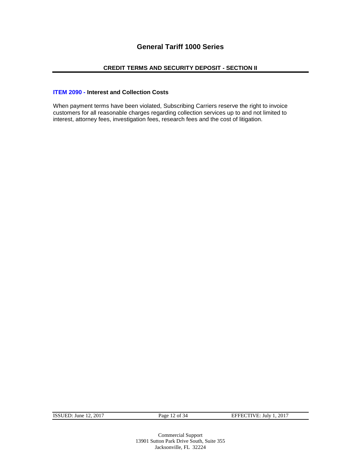#### **CREDIT TERMS AND SECURITY DEPOSIT - SECTION II**

#### **ITEM 2090 - Interest and Collection Costs**

When payment terms have been violated, Subscribing Carriers reserve the right to invoice customers for all reasonable charges regarding collection services up to and not limited to interest, attorney fees, investigation fees, research fees and the cost of litigation.

ISSUED: June 12, 2017 Page 12 of 34 EFFECTIVE: July 1, 2017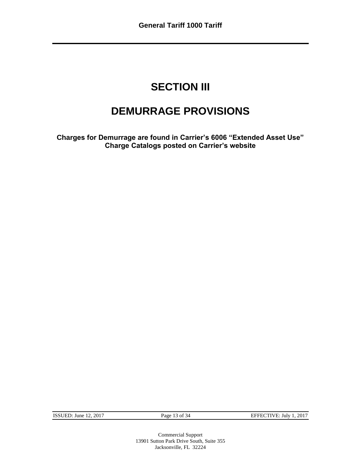### **SECTION III**

### **DEMURRAGE PROVISIONS**

**Charges for Demurrage are found in Carrier's 6006 "Extended Asset Use" Charge Catalogs posted on Carrier's website**

ISSUED: June 12, 2017 Page 13 of 34 EFFECTIVE: July 1, 2017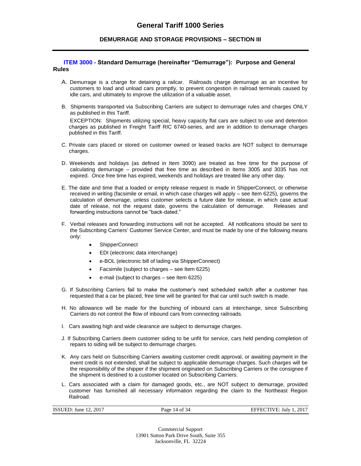#### **DEMURRAGE AND STORAGE PROVISIONS – SECTION III**

#### **ITEM 3000 - Standard Demurrage (hereinafter "Demurrage"): Purpose and General Rules**

- A. Demurrage is a charge for detaining a railcar. Railroads charge demurrage as an incentive for customers to load and unload cars promptly, to prevent congestion in railroad terminals caused by idle cars, and ultimately to improve the utilization of a valuable asset.
- B. Shipments transported via Subscribing Carriers are subject to demurrage rules and charges ONLY as published in this Tariff.

EXCEPTION: Shipments utilizing special, heavy capacity flat cars are subject to use and detention charges as published in Freight Tariff RIC 6740-series, and are in addition to demurrage charges published in this Tariff.

- C. Private cars placed or stored on customer owned or leased tracks are NOT subject to demurrage charges.
- D. Weekends and holidays (as defined in Item 3090) are treated as free time for the purpose of calculating demurrage – provided that free time as described in Items 3005 and 3035 has not expired. Once free time has expired, weekends and holidays are treated like any other day.
- E. The date and time that a loaded or empty release request is made in ShipperConnect, or otherwise received in writing (facsimile or email, in which case charges will apply – see Item 6225), governs the calculation of demurrage, unless customer selects a future date for release, in which case actual date of release, not the request date, governs the calculation of demurrage. Releases and forwarding instructions cannot be "back-dated."
- F. Verbal releases and forwarding instructions will not be accepted. All notifications should be sent to the Subscribing Carriers' Customer Service Center, and must be made by one of the following means only:
	- ShipperConnect
	- EDI (electronic data interchange)
	- e-BOL (electronic bill of lading via ShipperConnect)
	- Facsimile (subject to charges see Item 6225)
	- e-mail (subject to charges see Item 6225)
- G. If Subscribing Carriers fail to make the customer's next scheduled switch after a customer has requested that a car be placed, free time will be granted for that car until such switch is made.
- H. No allowance will be made for the bunching of inbound cars at interchange, since Subscribing Carriers do not control the flow of inbound cars from connecting railroads.
- I. Cars awaiting high and wide clearance are subject to demurrage charges.
- J. If Subscribing Carriers deem customer siding to be unfit for service, cars held pending completion of repairs to siding will be subject to demurrage charges.
- K. Any cars held on Subscribing Carriers awaiting customer credit approval, or awaiting payment in the event credit is not extended, shall be subject to applicable demurrage charges. Such charges will be the responsibility of the shipper if the shipment originated on Subscribing Carriers or the consignee if the shipment is destined to a customer located on Subscribing Carriers.
- L. Cars associated with a claim for damaged goods, etc., are NOT subject to demurrage, provided customer has furnished all necessary information regarding the claim to the Northeast Region Railroad.

| ISSUED: June $12, 2017$ | Page 14 of 34 | EFFECTIVE: July 1, 2017 |
|-------------------------|---------------|-------------------------|
|                         |               |                         |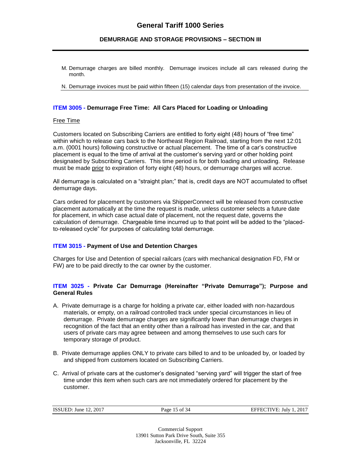#### **DEMURRAGE AND STORAGE PROVISIONS – SECTION III**

- M. Demurrage charges are billed monthly. Demurrage invoices include all cars released during the month.
- N. Demurrage invoices must be paid within fifteen (15) calendar days from presentation of the invoice.

#### **ITEM 3005 - Demurrage Free Time: All Cars Placed for Loading or Unloading**

#### Free Time

Customers located on Subscribing Carriers are entitled to forty eight (48) hours of "free time" within which to release cars back to the Northeast Region Railroad, starting from the next 12:01 a.m. (0001 hours) following constructive or actual placement. The time of a car's constructive placement is equal to the time of arrival at the customer's serving yard or other holding point designated by Subscribing Carriers. This time period is for both loading and unloading. Release must be made prior to expiration of forty eight (48) hours, or demurrage charges will accrue.

All demurrage is calculated on a "straight plan;" that is, credit days are NOT accumulated to offset demurrage days.

Cars ordered for placement by customers via ShipperConnect will be released from constructive placement automatically at the time the request is made, unless customer selects a future date for placement, in which case actual date of placement, not the request date, governs the calculation of demurrage. Chargeable time incurred up to that point will be added to the "placedto-released cycle" for purposes of calculating total demurrage.

#### **ITEM 3015 - Payment of Use and Detention Charges**

Charges for Use and Detention of special railcars (cars with mechanical designation FD, FM or FW) are to be paid directly to the car owner by the customer.

#### **ITEM 3025 - Private Car Demurrage (Hereinafter "Private Demurrage"); Purpose and General Rules**

- A. Private demurrage is a charge for holding a private car, either loaded with non-hazardous materials, or empty, on a railroad controlled track under special circumstances in lieu of demurrage. Private demurrage charges are significantly lower than demurrage charges in recognition of the fact that an entity other than a railroad has invested in the car, and that users of private cars may agree between and among themselves to use such cars for temporary storage of product.
- B. Private demurrage applies ONLY to private cars billed to and to be unloaded by, or loaded by and shipped from customers located on Subscribing Carriers.
- C. Arrival of private cars at the customer's designated "serving yard" will trigger the start of free time under this item when such cars are not immediately ordered for placement by the customer.

| ISSUED: June 12<br>. 2017 | Page | . 2017<br>$\gamma$ TIVE: July 1. $\epsilon_0$<br><b>SEEE</b> L |
|---------------------------|------|----------------------------------------------------------------|
|                           |      |                                                                |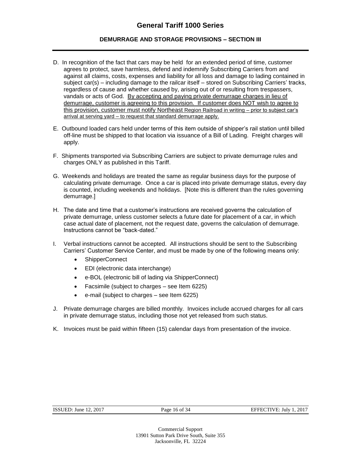#### **DEMURRAGE AND STORAGE PROVISIONS – SECTION III**

- D. In recognition of the fact that cars may be held for an extended period of time, customer agrees to protect, save harmless, defend and indemnify Subscribing Carriers from and against all claims, costs, expenses and liability for all loss and damage to lading contained in subject car(s) – including damage to the railcar itself – stored on Subscribing Carriers' tracks, regardless of cause and whether caused by, arising out of or resulting from trespassers, vandals or acts of God. By accepting and paying private demurrage charges in lieu of demurrage, customer is agreeing to this provision. If customer does NOT wish to agree to this provision, customer must notify Northeast Region Railroad in writing – prior to subject car's arrival at serving yard – to request that standard demurrage apply.
- E. Outbound loaded cars held under terms of this item outside of shipper's rail station until billed off-line must be shipped to that location via issuance of a Bill of Lading. Freight charges will apply.
- F. Shipments transported via Subscribing Carriers are subject to private demurrage rules and charges ONLY as published in this Tariff.
- G. Weekends and holidays are treated the same as regular business days for the purpose of calculating private demurrage. Once a car is placed into private demurrage status, every day is counted, including weekends and holidays. [Note this is different than the rules governing demurrage.]
- H. The date and time that a customer's instructions are received governs the calculation of private demurrage, unless customer selects a future date for placement of a car, in which case actual date of placement, not the request date, governs the calculation of demurrage. Instructions cannot be "back-dated."
- I. Verbal instructions cannot be accepted. All instructions should be sent to the Subscribing Carriers' Customer Service Center, and must be made by one of the following means only:
	- ShipperConnect
	- EDI (electronic data interchange)
	- e-BOL (electronic bill of lading via ShipperConnect)
	- Facsimile (subject to charges see Item 6225)
	- e-mail (subject to charges see Item 6225)
- J. Private demurrage charges are billed monthly. Invoices include accrued charges for all cars in private demurrage status, including those not yet released from such status.
- K. Invoices must be paid within fifteen (15) calendar days from presentation of the invoice.

| <b>ISSUED:</b> June 12, 2017 |  |  |
|------------------------------|--|--|
|------------------------------|--|--|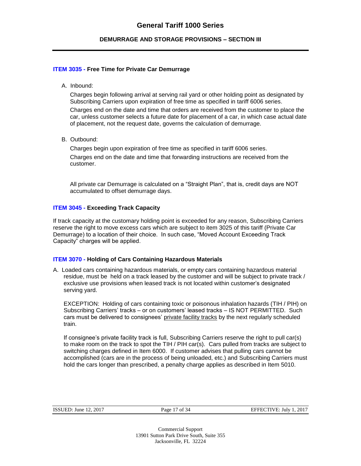#### **DEMURRAGE AND STORAGE PROVISIONS – SECTION III**

#### **ITEM 3035 - Free Time for Private Car Demurrage**

A. Inbound:

Charges begin following arrival at serving rail yard or other holding point as designated by Subscribing Carriers upon expiration of free time as specified in tariff 6006 series.

Charges end on the date and time that orders are received from the customer to place the car, unless customer selects a future date for placement of a car, in which case actual date of placement, not the request date, governs the calculation of demurrage.

B. Outbound:

Charges begin upon expiration of free time as specified in tariff 6006 series. Charges end on the date and time that forwarding instructions are received from the customer.

All private car Demurrage is calculated on a "Straight Plan", that is, credit days are NOT accumulated to offset demurrage days.

#### **ITEM 3045 - Exceeding Track Capacity**

If track capacity at the customary holding point is exceeded for any reason, Subscribing Carriers reserve the right to move excess cars which are subject to item 3025 of this tariff (Private Car Demurrage) to a location of their choice. In such case, "Moved Account Exceeding Track Capacity" charges will be applied.

#### **ITEM 3070 - Holding of Cars Containing Hazardous Materials**

A. Loaded cars containing hazardous materials, or empty cars containing hazardous material residue, must be held on a track leased by the customer and will be subject to private track / exclusive use provisions when leased track is not located within customer's designated serving yard.

EXCEPTION: Holding of cars containing toxic or poisonous inhalation hazards (TIH / PIH) on Subscribing Carriers' tracks – or on customers' leased tracks – IS NOT PERMITTED. Such cars must be delivered to consignees' private facility tracks by the next regularly scheduled train.

If consignee's private facility track is full, Subscribing Carriers reserve the right to pull car(s) to make room on the track to spot the TIH / PIH car(s). Cars pulled from tracks are subject to switching charges defined in Item 6000. If customer advises that pulling cars cannot be accomplished (cars are in the process of being unloaded, etc.) and Subscribing Carriers must hold the cars longer than prescribed, a penalty charge applies as described in Item 5010.

| ISSUED: June $12, 2017$ | Page 17 of 34 | EFFECTIVE: July 1, 2017 |
|-------------------------|---------------|-------------------------|
|                         |               |                         |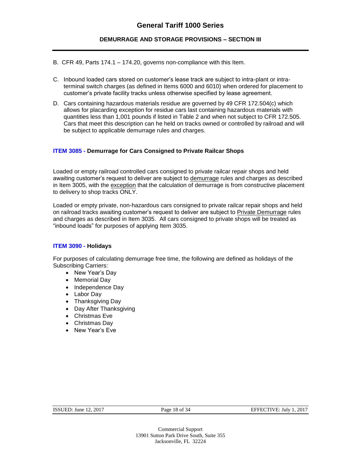#### **DEMURRAGE AND STORAGE PROVISIONS – SECTION III**

- B. CFR 49, Parts 174.1 174.20, governs non-compliance with this Item.
- C. Inbound loaded cars stored on customer's lease track are subject to intra-plant or intraterminal switch charges (as defined in Items 6000 and 6010) when ordered for placement to customer's private facility tracks unless otherwise specified by lease agreement.
- D. Cars containing hazardous materials residue are governed by 49 CFR 172.504(c) which allows for placarding exception for residue cars last containing hazardous materials with quantities less than 1,001 pounds if listed in Table 2 and when not subject to CFR 172.505. Cars that meet this description can he held on tracks owned or controlled by railroad and will be subject to applicable demurrage rules and charges.

#### **ITEM 3085 - Demurrage for Cars Consigned to Private Railcar Shops**

Loaded or empty railroad controlled cars consigned to private railcar repair shops and held awaiting customer's request to deliver are subject to demurrage rules and charges as described in Item 3005, with the exception that the calculation of demurrage is from constructive placement to delivery to shop tracks ONLY.

Loaded or empty private, non-hazardous cars consigned to private railcar repair shops and held on railroad tracks awaiting customer's request to deliver are subject to Private Demurrage rules and charges as described in Item 3035. All cars consigned to private shops will be treated as "inbound loads" for purposes of applying Item 3035.

#### **ITEM 3090 - Holidays**

For purposes of calculating demurrage free time, the following are defined as holidays of the Subscribing Carriers:

- New Year's Dav
- Memorial Dav
- Independence Day
- Labor Day
- Thanksgiving Day
- Day After Thanksgiving
- Christmas Eve
- Christmas Day
- New Year's Eve

#### Page 18 of 34 EFFECTIVE: July 1, 2017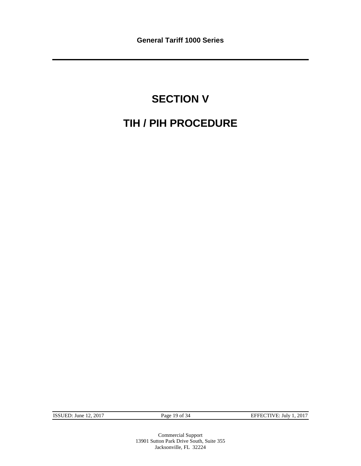# **SECTION V TIH / PIH PROCEDURE**

ISSUED: June 12, 2017 Page 19 of 34 EFFECTIVE: July 1, 2017

Commercial Support 13901 Sutton Park Drive South, Suite 355 Jacksonville, FL 32224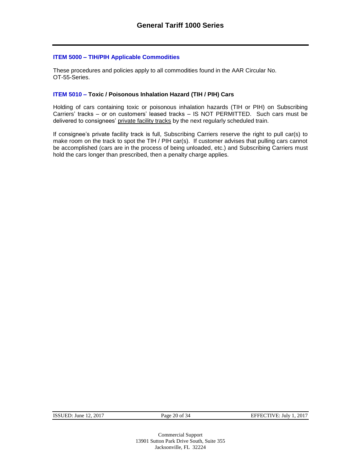#### **ITEM 5000 – TIH/PIH Applicable Commodities**

These procedures and policies apply to all commodities found in the AAR Circular No. OT-55-Series.

#### **ITEM 5010 – Toxic / Poisonous Inhalation Hazard (TIH / PIH) Cars**

Holding of cars containing toxic or poisonous inhalation hazards (TIH or PIH) on Subscribing Carriers' tracks – or on customers' leased tracks – IS NOT PERMITTED. Such cars must be delivered to consignees' private facility tracks by the next regularly scheduled train.

If consignee's private facility track is full, Subscribing Carriers reserve the right to pull car(s) to make room on the track to spot the TIH / PIH car(s). If customer advises that pulling cars cannot be accomplished (cars are in the process of being unloaded, etc.) and Subscribing Carriers must hold the cars longer than prescribed, then a penalty charge applies.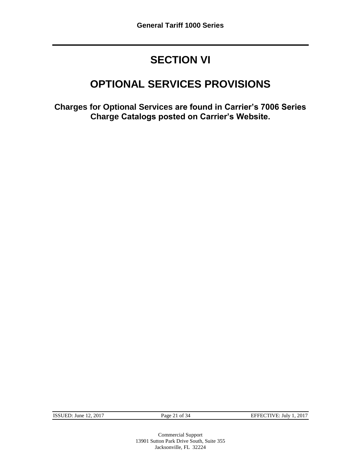### **SECTION VI**

### **OPTIONAL SERVICES PROVISIONS**

**Charges for Optional Services are found in Carrier's 7006 Series Charge Catalogs posted on Carrier's Website.**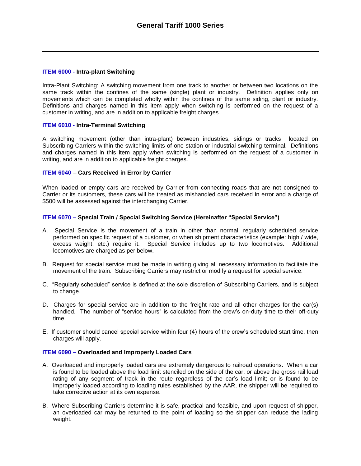#### **ITEM 6000 - Intra-plant Switching**

Intra-Plant Switching: A switching movement from one track to another or between two locations on the same track within the confines of the same (single) plant or industry. Definition applies only on movements which can be completed wholly within the confines of the same siding, plant or industry. Definitions and charges named in this item apply when switching is performed on the request of a customer in writing, and are in addition to applicable freight charges.

#### **ITEM 6010 - Intra-Terminal Switching**

A switching movement (other than intra-plant) between industries, sidings or tracks located on Subscribing Carriers within the switching limits of one station or industrial switching terminal. Definitions and charges named in this item apply when switching is performed on the request of a customer in writing, and are in addition to applicable freight charges.

#### **ITEM 6040 – Cars Received in Error by Carrier**

When loaded or empty cars are received by Carrier from connecting roads that are not consigned to Carrier or its customers, these cars will be treated as mishandled cars received in error and a charge of \$500 will be assessed against the interchanging Carrier.

#### **ITEM 6070 – Special Train / Special Switching Service (Hereinafter "Special Service")**

- A. Special Service is the movement of a train in other than normal, regularly scheduled service performed on specific request of a customer, or when shipment characteristics (example: high / wide, excess weight, etc.) require it. Special Service includes up to two locomotives. Additional locomotives are charged as per below.
- B. Request for special service must be made in writing giving all necessary information to facilitate the movement of the train. Subscribing Carriers may restrict or modify a request for special service.
- C. "Regularly scheduled" service is defined at the sole discretion of Subscribing Carriers, and is subject to change.
- D. Charges for special service are in addition to the freight rate and all other charges for the car(s) handled. The number of "service hours" is calculated from the crew's on-duty time to their off-duty time.
- E. If customer should cancel special service within four (4) hours of the crew's scheduled start time, then charges will apply.

#### **ITEM 6090 – Overloaded and Improperly Loaded Cars**

- A. Overloaded and improperly loaded cars are extremely dangerous to railroad operations. When a car is found to be loaded above the load limit stenciled on the side of the car, or above the gross rail load rating of any segment of track in the route regardless of the car's load limit; or is found to be improperly loaded according to loading rules established by the AAR, the shipper will be required to take corrective action at its own expense.
- B. Where Subscribing Carriers determine it is safe, practical and feasible, and upon request of shipper, an overloaded car may be returned to the point of loading so the shipper can reduce the lading weight.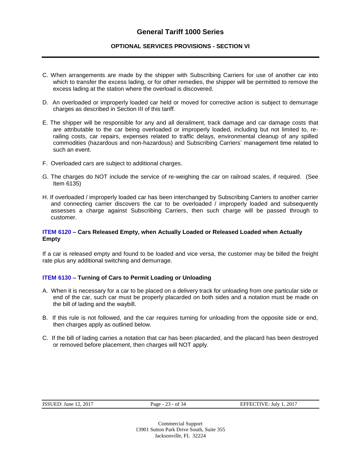#### **OPTIONAL SERVICES PROVISIONS - SECTION VI**

- C. When arrangements are made by the shipper with Subscribing Carriers for use of another car into which to transfer the excess lading, or for other remedies, the shipper will be permitted to remove the excess lading at the station where the overload is discovered.
- D. An overloaded or improperly loaded car held or moved for corrective action is subject to demurrage charges as described in Section III of this tariff.
- E. The shipper will be responsible for any and all derailment, track damage and car damage costs that are attributable to the car being overloaded or improperly loaded, including but not limited to, rerailing costs, car repairs, expenses related to traffic delays, environmental cleanup of any spilled commodities (hazardous and non-hazardous) and Subscribing Carriers' management time related to such an event.
- F. Overloaded cars are subject to additional charges.
- G. The charges do NOT include the service of re-weighing the car on railroad scales, if required. (See Item 6135)
- H. If overloaded / improperly loaded car has been interchanged by Subscribing Carriers to another carrier and connecting carrier discovers the car to be overloaded / improperly loaded and subsequently assesses a charge against Subscribing Carriers, then such charge will be passed through to customer.

#### **ITEM 6120 – Cars Released Empty, when Actually Loaded or Released Loaded when Actually Empty**

If a car is released empty and found to be loaded and vice versa, the customer may be billed the freight rate plus any additional switching and demurrage.

#### **ITEM 6130 – Turning of Cars to Permit Loading or Unloading**

- A. When it is necessary for a car to be placed on a delivery track for unloading from one particular side or end of the car, such car must be properly placarded on both sides and a notation must be made on the bill of lading and the waybill.
- B. If this rule is not followed, and the car requires turning for unloading from the opposite side or end, then charges apply as outlined below.
- C. If the bill of lading carries a notation that car has been placarded, and the placard has been destroyed or removed before placement, then charges will NOT apply.

| <b>ISSUED:</b> June 12, 2017 |  |
|------------------------------|--|
|------------------------------|--|

Page - 23 - of 34 EFFECTIVE: July 1, 2017

Commercial Support 13901 Sutton Park Drive South, Suite 355 Jacksonville, FL 32224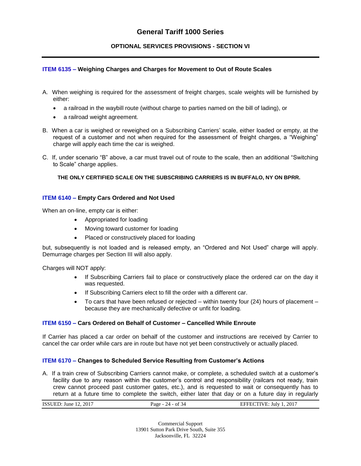#### **OPTIONAL SERVICES PROVISIONS - SECTION VI**

#### **ITEM 6135 – Weighing Charges and Charges for Movement to Out of Route Scales**

- A. When weighing is required for the assessment of freight charges, scale weights will be furnished by either:
	- a railroad in the waybill route (without charge to parties named on the bill of lading), or
	- a railroad weight agreement.
- B. When a car is weighed or reweighed on a Subscribing Carriers' scale, either loaded or empty, at the request of a customer and not when required for the assessment of freight charges, a "Weighing" charge will apply each time the car is weighed.
- C. If, under scenario "B" above, a car must travel out of route to the scale, then an additional "Switching to Scale" charge applies.

**THE ONLY CERTIFIED SCALE ON THE SUBSCRIBING CARRIERS IS IN BUFFALO, NY ON BPRR.**

#### **ITEM 6140 – Empty Cars Ordered and Not Used**

When an on-line, empty car is either:

- Appropriated for loading
- Moving toward customer for loading
- Placed or constructively placed for loading

but, subsequently is not loaded and is released empty, an "Ordered and Not Used" charge will apply. Demurrage charges per Section III will also apply.

Charges will NOT apply:

- If Subscribing Carriers fail to place or constructively place the ordered car on the day it was requested.
- If Subscribing Carriers elect to fill the order with a different car.
- $\bullet$  To cars that have been refused or rejected within twenty four (24) hours of placement because they are mechanically defective or unfit for loading.

#### **ITEM 6150 – Cars Ordered on Behalf of Customer – Cancelled While Enroute**

If Carrier has placed a car order on behalf of the customer and instructions are received by Carrier to cancel the car order while cars are in route but have not yet been constructively or actually placed.

#### **ITEM 6170 – Changes to Scheduled Service Resulting from Customer's Actions**

A. If a train crew of Subscribing Carriers cannot make, or complete, a scheduled switch at a customer's facility due to any reason within the customer's control and responsibility (railcars not ready, train crew cannot proceed past customer gates, etc.), and is requested to wait or consequently has to return at a future time to complete the switch, either later that day or on a future day in regularly

Commercial Support 13901 Sutton Park Drive South, Suite 355 Jacksonville, FL 32224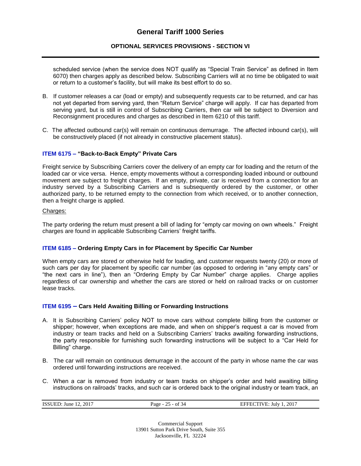#### **OPTIONAL SERVICES PROVISIONS - SECTION VI**

scheduled service (when the service does NOT qualify as "Special Train Service" as defined in Item 6070) then charges apply as described below. Subscribing Carriers will at no time be obligated to wait or return to a customer's facility, but will make its best effort to do so.

- B. If customer releases a car (load or empty) and subsequently requests car to be returned, and car has not yet departed from serving yard, then "Return Service" charge will apply. If car has departed from serving yard, but is still in control of Subscribing Carriers, then car will be subject to Diversion and Reconsignment procedures and charges as described in Item 6210 of this tariff.
- C. The affected outbound car(s) will remain on continuous demurrage. The affected inbound car(s), will be constructively placed (if not already in constructive placement status).

#### **ITEM 6175 – "Back-to-Back Empty" Private Cars**

Freight service by Subscribing Carriers cover the delivery of an empty car for loading and the return of the loaded car or vice versa. Hence, empty movements without a corresponding loaded inbound or outbound movement are subject to freight charges. If an empty, private, car is received from a connection for an industry served by a Subscribing Carriers and is subsequently ordered by the customer, or other authorized party, to be returned empty to the connection from which received, or to another connection, then a freight charge is applied.

#### Charges:

The party ordering the return must present a bill of lading for "empty car moving on own wheels." Freight charges are found in applicable Subscribing Carriers' freight tariffs.

#### **ITEM 6185 – Ordering Empty Cars in for Placement by Specific Car Number**

When empty cars are stored or otherwise held for loading, and customer requests twenty (20) or more of such cars per day for placement by specific car number (as opposed to ordering in "any empty cars" or "the next cars in line"), then an "Ordering Empty by Car Number" charge applies. Charge applies regardless of car ownership and whether the cars are stored or held on railroad tracks or on customer lease tracks.

#### **ITEM 6195 – Cars Held Awaiting Billing or Forwarding Instructions**

- A. It is Subscribing Carriers' policy NOT to move cars without complete billing from the customer or shipper; however, when exceptions are made, and when on shipper's request a car is moved from industry or team tracks and held on a Subscribing Carriers' tracks awaiting forwarding instructions, the party responsible for furnishing such forwarding instructions will be subject to a "Car Held for Billing" charge.
- B. The car will remain on continuous demurrage in the account of the party in whose name the car was ordered until forwarding instructions are received.
- C. When a car is removed from industry or team tracks on shipper's order and held awaiting billing instructions on railroads' tracks, and such car is ordered back to the original industry or team track, an

| <b>ISSUED:</b> June 12, 2017 | Page - $25 - of 34$ | EFFECTIVE: July 1, 2017<br>________ |
|------------------------------|---------------------|-------------------------------------|
|                              |                     |                                     |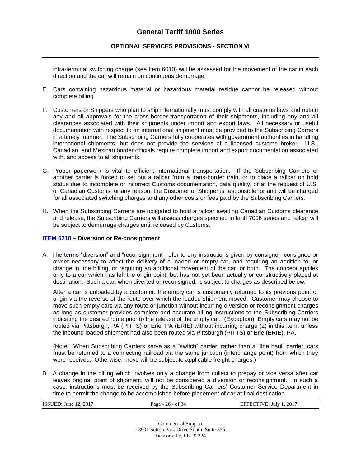#### **OPTIONAL SERVICES PROVISIONS - SECTION VI**

intra-terminal switching charge (see Item 6010) will be assessed for the movement of the car in each direction and the car will remain on continuous demurrage.

- E. Cars containing hazardous material or hazardous material residue cannot be released without complete billing.
- F. Customers or Shippers who plan to ship internationally must comply with all customs laws and obtain any and all approvals for the cross-border transportation of their shipments, including any and all clearances associated with their shipments under import and export laws. All necessary or useful documentation with respect to an international shipment must be provided to the Subscribing Carriers in a timely manner. The Subscribing Carriers fully cooperates with government authorities in handling international shipments, but does not provide the services of a licensed customs broker. U.S., Canadian, and Mexican border officials require complete import and export documentation associated with, and access to all shipments.
- G. Proper paperwork is vital to efficient international transportation. If the Subscribing Carriers or another carrier is forced to set out a railcar from a trans-border train, or to place a railcar on hold status due to incomplete or incorrect Customs documentation, data quality, or at the request of U.S. or Canadian Customs for any reason, the Customer or Shipper is responsible for and will be charged for all associated switching charges and any other costs or fees paid by the Subscribing Carriers.
- H. When the Subscribing Carriers are obligated to hold a railcar awaiting Canadian Customs clearance and release, the Subscribing Carriers will assess charges specified in tariff 7006 series and railcar will be subject to demurrage charges until released by Customs.

#### **ITEM 6210 – Diversion or Re-consignment**

A. The terms "diversion" and "reconsignment" refer to any instructions given by consignor, consignee or owner necessary to affect the delivery of a loaded or empty car, and requiring an addition to, or change in, the billing, or requiring an additional movement of the car, or both. The concept applies only to a car which has left the origin point, but has not yet been actually or constructively placed at destination. Such a car, when diverted or reconsigned, is subject to charges as described below.

After a car is unloaded by a customer, the empty car is customarily returned to its previous point of origin via the reverse of the route over which the loaded shipment moved. Customer may choose to move such empty cars via any route or junction without incurring diversion or reconsignment charges as long as customer provides complete and accurate billing instructions to the Subscribing Carriers indicating the desired route prior to the release of the empty car. (Exception) Empty cars may not be routed via Pittsburgh, PA (PITTS) or Erie, PA (ERIE) without incurring charge (2) in this item, unless the inbound loaded shipment had also been routed via Pittsburgh (PITTS) or Erie (ERIE), PA.

(Note: When Subscribing Carriers serve as a "switch" carrier, rather than a "line haul" carrier, cars must be returned to a connecting railroad via the same junction (interchange point) from which they were received. Otherwise, move will be subject to applicable freight charges.)

B. A change in the billing which involves only a change from collect to prepay or vice versa after car leaves original point of shipment, will not be considered a diversion or reconsignment. In such a case, instructions must be received by the Subscribing Carriers' Customer Service Department in time to permit the change to be accomplished before placement of car at final destination.

| : 12. 2017<br>ISSU<br>'ED<br>June | - of<br>age<br>$   -$ | .2017<br>July<br>.ve |
|-----------------------------------|-----------------------|----------------------|
|                                   |                       |                      |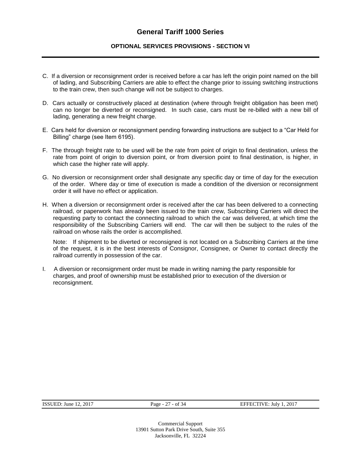#### **OPTIONAL SERVICES PROVISIONS - SECTION VI**

- C. If a diversion or reconsignment order is received before a car has left the origin point named on the bill of lading, and Subscribing Carriers are able to effect the change prior to issuing switching instructions to the train crew, then such change will not be subject to charges.
- D. Cars actually or constructively placed at destination (where through freight obligation has been met) can no longer be diverted or reconsigned. In such case, cars must be re-billed with a new bill of lading, generating a new freight charge.
- E. Cars held for diversion or reconsignment pending forwarding instructions are subject to a "Car Held for Billing" charge (see Item 6195).
- F. The through freight rate to be used will be the rate from point of origin to final destination, unless the rate from point of origin to diversion point, or from diversion point to final destination, is higher, in which case the higher rate will apply.
- G. No diversion or reconsignment order shall designate any specific day or time of day for the execution of the order. Where day or time of execution is made a condition of the diversion or reconsignment order it will have no effect or application.
- H. When a diversion or reconsignment order is received after the car has been delivered to a connecting railroad, or paperwork has already been issued to the train crew, Subscribing Carriers will direct the requesting party to contact the connecting railroad to which the car was delivered, at which time the responsibility of the Subscribing Carriers will end. The car will then be subject to the rules of the railroad on whose rails the order is accomplished.

Note: If shipment to be diverted or reconsigned is not located on a Subscribing Carriers at the time of the request, it is in the best interests of Consignor, Consignee, or Owner to contact directly the railroad currently in possession of the car.

I. A diversion or reconsignment order must be made in writing naming the party responsible for charges, and proof of ownership must be established prior to execution of the diversion or reconsignment.

ISSUED: June 12, 2017 Page - 27 - of 34 EFFECTIVE: July 1, 2017

Commercial Support 13901 Sutton Park Drive South, Suite 355 Jacksonville, FL 32224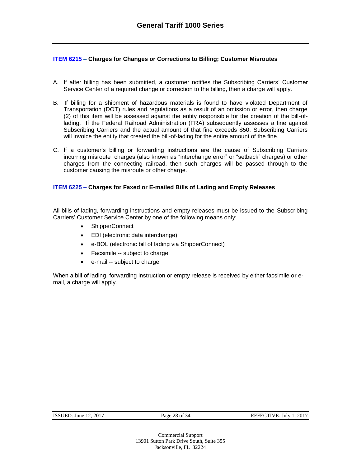#### **ITEM 6215 – Charges for Changes or Corrections to Billing; Customer Misroutes**

- A. If after billing has been submitted, a customer notifies the Subscribing Carriers' Customer Service Center of a required change or correction to the billing, then a charge will apply.
- B. If billing for a shipment of hazardous materials is found to have violated Department of Transportation (DOT) rules and regulations as a result of an omission or error, then charge (2) of this item will be assessed against the entity responsible for the creation of the bill-oflading. If the Federal Railroad Administration (FRA) subsequently assesses a fine against Subscribing Carriers and the actual amount of that fine exceeds \$50, Subscribing Carriers will invoice the entity that created the bill-of-lading for the entire amount of the fine.
- C. If a customer's billing or forwarding instructions are the cause of Subscribing Carriers incurring misroute charges (also known as "interchange error" or "setback" charges) or other charges from the connecting railroad, then such charges will be passed through to the customer causing the misroute or other charge.

#### **ITEM 6225 – Charges for Faxed or E-mailed Bills of Lading and Empty Releases**

All bills of lading, forwarding instructions and empty releases must be issued to the Subscribing Carriers' Customer Service Center by one of the following means only:

- ShipperConnect
- EDI (electronic data interchange)
- e-BOL (electronic bill of lading via ShipperConnect)
- Facsimile -- subject to charge
- e-mail -- subject to charge

When a bill of lading, forwarding instruction or empty release is received by either facsimile or email, a charge will apply.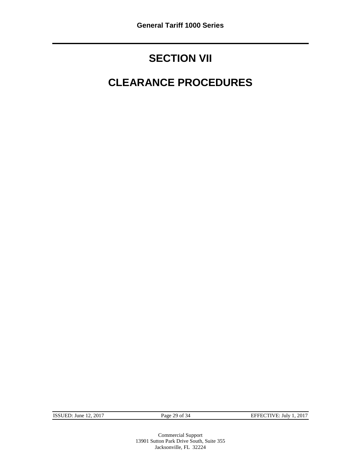### **SECTION VII**

## **CLEARANCE PROCEDURES**

ISSUED: June 12, 2017 Page 29 of 34 EFFECTIVE: July 1, 2017

Commercial Support 13901 Sutton Park Drive South, Suite 355 Jacksonville, FL 32224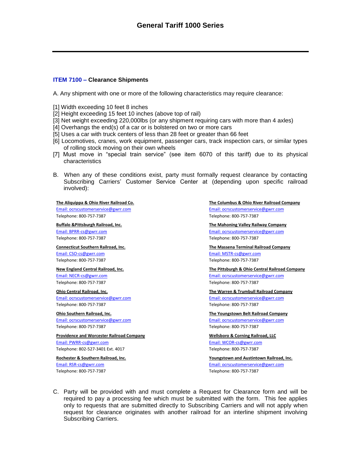#### **ITEM 7100 – Clearance Shipments**

A. Any shipment with one or more of the following characteristics may require clearance:

- [1] Width exceeding 10 feet 8 inches
- [2] Height exceeding 15 feet 10 inches (above top of rail)
- [3] Net weight exceeding 220,000lbs (or any shipment requiring cars with more than 4 axles)
- [4] Overhangs the end(s) of a car or is bolstered on two or more cars
- [5] Uses a car with truck centers of less than 28 feet or greater than 66 feet
- [6] Locomotives, cranes, work equipment, passenger cars, track inspection cars, or similar types of rolling stock moving on their own wheels
- [7] Must move in "special train service" (see item 6070 of this tariff) due to its physical characteristics
- B. When any of these conditions exist, party must formally request clearance by contacting Subscribing Carriers' Customer Service Center at (depending upon specific railroad involved):

Telephone: 800-757-7387 Telephone: 800-757-7387

[Email: CSO-cs@gwrr.com](mailto:CSO-cs@gwrr.com) [Email: MSTR-cs@gwrr.com](mailto:MSTR-cs@gwrr.com) Telephone: 800-757-7387 Telephone: 800-757-7387

Telephone: 800-757-7387 Telephone: 800-757-7387

Telephone: 800-757-7387 Telephone: 800-757-7387

**Providence and Worcester Railroad Company Wellsboro & Corning Railroad, LLC** [Email: PWRR-cs@gwrr.com](mailto:PWRR-cs@gwrr.com) et al. extendio and the extendio of the [Email: WCOR-cs@gwrr.com](mailto:WCOR-cs@gwrr.com) Telephone: 802-527-3401 Ext. 4017 Telephone: 800-757-7387

Telephone: 800-757-7387 Telephone: 800-757-7387

#### **The Aliquippa & Ohio River Railroad Co. The Columbus & Ohio River Railroad Company** [Email: ocrscustomerservice@gwrr.com](mailto:ocrscustomerservice@gwrr.com) [Email: ocrscustomerservice@gwrr.com](mailto:ocrscustomerservice@gwrr.com) Telephone: 800-757-7387 Telephone: 800-757-7387

**Buffalo &Pittsburgh Railroad, Inc. The Mahoning Valley Railway Company** [Email: BPRR-cs@gwrr.com](mailto:BPRR-cs@gwrr.com) [Email: ocrscustomerservice@gwrr.com](mailto:ocrscustomerservice@gwrr.com)

**Connecticut Southern Railroad, Inc. The Massena Terminal Railroad Company**

**New England Central Railroad, Inc. The Pittsburgh & Ohio Central Railroad Company** [Email: NECR-cs@gwrr.com](mailto:NECR-cs@gwrr.com) [Email: ocrscustomerservice@gwrr.com](mailto:ocrscustomerservice@gwrr.com) Telephone: 800-757-7387 Telephone: 800-757-7387

**Ohio Central Railroad, Inc. The Warren & Trumbull Railroad Company** [Email: ocrscustomerservice@gwrr.com](mailto:ocrscustomerservice@gwrr.com) [Email: ocrscustomerservice@gwrr.com](mailto:ocrscustomerservice@gwrr.com)

**Ohio Southern Railroad, Inc. The Youngstown Belt Railroad Company** [Email: ocrscustomerservice@gwrr.com](mailto:ocrscustomerservice@gwrr.com) [Email: ocrscustomerservice@gwrr.com](mailto:ocrscustomerservice@gwrr.com)

**Rochester & Southern Railroad, Inc. Youngstown and Austintown Railroad, Inc.** [Email: RSR-cs@gwrr.com](mailto:RSR-cs@gwrr.com) [Email: ocrscustomerservice@gwrr.com](mailto:ocrscustomerservice@gwrr.com)

C. Party will be provided with and must complete a Request for Clearance form and will be required to pay a processing fee which must be submitted with the form. This fee applies only to requests that are submitted directly to Subscribing Carriers and will not apply when request for clearance originates with another railroad for an interline shipment involving Subscribing Carriers.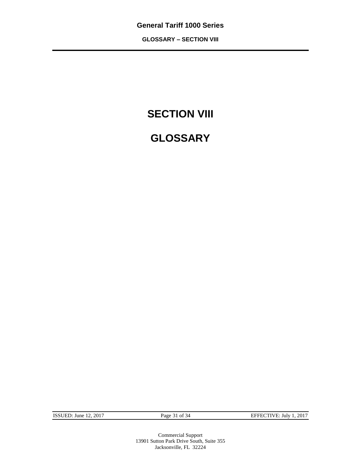**GLOSSARY – SECTION VIII**

### **SECTION VIII**

### **GLOSSARY**

ISSUED: June 12, 2017 Page 31 of 34 EFFECTIVE: July 1, 2017

Commercial Support 13901 Sutton Park Drive South, Suite 355 Jacksonville, FL 32224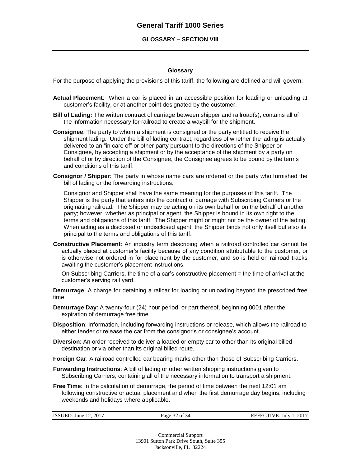#### **GLOSSARY – SECTION VIII**

#### **Glossary**

For the purpose of applying the provisions of this tariff, the following are defined and will govern:

- **Actual Placement**: When a car is placed in an accessible position for loading or unloading at customer's facility, or at another point designated by the customer.
- **Bill of Lading:** The written contract of carriage between shipper and railroad(s); contains all of the information necessary for railroad to create a waybill for the shipment.
- **Consignee**: The party to whom a shipment is consigned or the party entitled to receive the shipment lading. Under the bill of lading contract, regardless of whether the lading is actually delivered to an "in care of" or other party pursuant to the directions of the Shipper or Consignee, by accepting a shipment or by the acceptance of the shipment by a party on behalf of or by direction of the Consignee, the Consignee agrees to be bound by the terms and conditions of this tariff.
- **Consignor / Shipper**: The party in whose name cars are ordered or the party who furnished the bill of lading or the forwarding instructions.

Consignor and Shipper shall have the same meaning for the purposes of this tariff. The Shipper is the party that enters into the contract of carriage with Subscribing Carriers or the originating railroad. The Shipper may be acting on its own behalf or on the behalf of another party; however, whether as principal or agent, the Shipper is bound in its own right to the terms and obligations of this tariff. The Shipper might or might not be the owner of the lading. When acting as a disclosed or undisclosed agent, the Shipper binds not only itself but also its principal to the terms and obligations of this tariff.

**Constructive Placement**: An industry term describing when a railroad controlled car cannot be actually placed at customer's facility because of any condition attributable to the customer, or is otherwise not ordered in for placement by the customer, and so is held on railroad tracks awaiting the customer's placement instructions.

On Subscribing Carriers, the time of a car's constructive placement = the time of arrival at the customer's serving rail yard.

**Demurrage**: A charge for detaining a railcar for loading or unloading beyond the prescribed free time.

- **Demurrage Day**: A twenty-four (24) hour period, or part thereof, beginning 0001 after the expiration of demurrage free time.
- **Disposition**: Information, including forwarding instructions or release, which allows the railroad to either tender or release the car from the consignor's or consignee's account.
- **Diversion**: An order received to deliver a loaded or empty car to other than its original billed destination or via other than its original billed route.
- **Foreign Car**: A railroad controlled car bearing marks other than those of Subscribing Carriers.
- **Forwarding Instructions**: A bill of lading or other written shipping instructions given to Subscribing Carriers, containing all of the necessary information to transport a shipment.
- **Free Time**: In the calculation of demurrage, the period of time between the next 12:01 am following constructive or actual placement and when the first demurrage day begins, including weekends and holidays where applicable.

| <b>ISSUED: June 12, 2017</b> | Page 32 of 34 | EFFECTIVE: July 1, 2017 |
|------------------------------|---------------|-------------------------|
|                              |               |                         |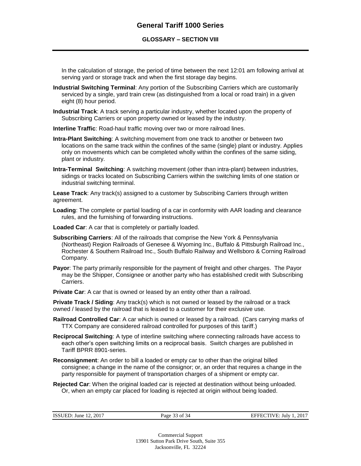#### **GLOSSARY – SECTION VIII**

In the calculation of storage, the period of time between the next 12:01 am following arrival at serving yard or storage track and when the first storage day begins.

- **Industrial Switching Terminal**: Any portion of the Subscribing Carriers which are customarily serviced by a single, yard train crew (as distinguished from a local or road train) in a given eight (8) hour period.
- **Industrial Track**: A track serving a particular industry, whether located upon the property of Subscribing Carriers or upon property owned or leased by the industry.

**Interline Traffic**: Road-haul traffic moving over two or more railroad lines.

- **Intra-Plant Switching**: A switching movement from one track to another or between two locations on the same track within the confines of the same (single) plant or industry. Applies only on movements which can be completed wholly within the confines of the same siding, plant or industry.
- **Intra-Terminal Switching**: A switching movement (other than intra-plant) between industries, sidings or tracks located on Subscribing Carriers within the switching limits of one station or industrial switching terminal.

**Lease Track**: Any track(s) assigned to a customer by Subscribing Carriers through written agreement.

- **Loading**: The complete or partial loading of a car in conformity with AAR loading and clearance rules, and the furnishing of forwarding instructions.
- **Loaded Car**: A car that is completely or partially loaded.
- **Subscribing Carriers**: All of the railroads that comprise the New York & Pennsylvania (Northeast) Region Railroads of Genesee & Wyoming Inc., Buffalo & Pittsburgh Railroad Inc., Rochester & Southern Railroad Inc., South Buffalo Railway and Wellsboro & Corning Railroad Company.
- **Payor**: The party primarily responsible for the payment of freight and other charges. The Payor may be the Shipper, Consignee or another party who has established credit with Subscribing Carriers.
- **Private Car:** A car that is owned or leased by an entity other than a railroad.

**Private Track / Siding**: Any track(s) which is not owned or leased by the railroad or a track owned / leased by the railroad that is leased to a customer for their exclusive use.

- **Railroad Controlled Car**: A car which is owned or leased by a railroad. (Cars carrying marks of TTX Company are considered railroad controlled for purposes of this tariff.)
- **Reciprocal Switching**: A type of interline switching where connecting railroads have access to each other's open switching limits on a reciprocal basis. Switch charges are published in Tariff BPRR 8901-series.
- **Reconsignment**: An order to bill a loaded or empty car to other than the original billed consignee; a change in the name of the consignor; or, an order that requires a change in the party responsible for payment of transportation charges of a shipment or empty car.
- **Rejected Car**: When the original loaded car is rejected at destination without being unloaded. Or, when an empty car placed for loading is rejected at origin without being loaded.

| ISSUED: June $12, 2017$ | Page 33 of 34 | EFFECTIVE: July 1, 2017 |
|-------------------------|---------------|-------------------------|
|                         |               |                         |